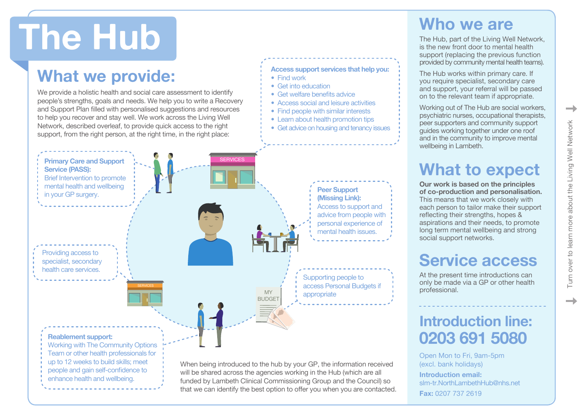# **The Hub**

### **What we provide:**

We provide a holistic health and social care assessment to identify people's strengths, goals and needs. We help you to write a Recovery and Support Plan filled with personalised suggestions and resources to help you recover and stay well. We work across the Living Well Network, described overleaf, to provide quick access to the right support, from the right person, at the right time, in the right place:

#### **Access support services that help you:**

- Find work
- Get into education
- Get welfare benefits advice
- Access social and leisure activities
- Find people with similar interests
- Learn about health promotion tips
- Get advice on housing and tenancy issues

**Primary Care and Support Service (PASS):**  Brief Intervention to promote mental health and wellbeing in your GP surgery. **Peer Support (Missing Link):**  Access to support and advice from people with personal experience of mental health issues. Supporting people to access Personal Budgets if appropriate Providing access to specialist, secondary health care services. **SERVICES** MY **BUDGET** 

#### **Reablement support:**

Working with The Community Options Team or other health professionals for up to 12 weeks to build skills; meet people and gain self-confidence to enhance health and wellbeing.

When being introduced to the hub by your GP, the information received will be shared across the agencies working in the Hub (which are all funded by Lambeth Clinical Commissioning Group and the Council) so that we can identify the best option to offer you when you are contacted.

#### **Who we are**

The Hub, part of the Living Well Network, is the new front door to mental health support (replacing the previous function provided by community mental health teams).

The Hub works within primary care. If you require specialist, secondary care and support, your referral will be passed on to the relevant team if appropriate.

Working out of The Hub are social workers, psychiatric nurses, occupational therapists, peer supporters and community support guides working together under one roof and in the community to improve mental wellbeing in Lambeth.

## **What to expect**

**Our work is based on the principles of co-production and personalisation.**  This means that we work closely with each person to tailor make their support reflecting their strengths, hopes & aspirations and their needs, to promote long term mental wellbeing and strong social support networks.

#### **Service access**

At the present time introductions can only be made via a GP or other health professional.

#### **Introduction line: 0203 691 5080**

Open Mon to Fri, 9am-5pm (excl. bank holidays) **Introduction email:**  slm-tr.NorthLambethHub@nhs.net **Fax:** 0207 737 2619